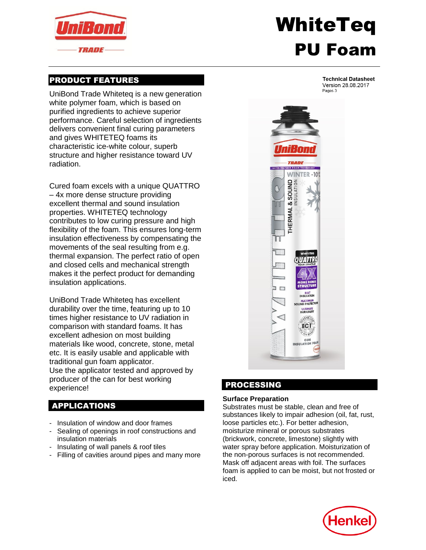

# WhiteTeq PU Foam

## PRODUCT FEATURES

UniBond Trade Whiteteq is a new generation white polymer foam, which is based on purified ingredients to achieve superior performance. Careful selection of ingredients delivers convenient final curing parameters and gives WHITETEQ foams its characteristic ice-white colour, superb structure and higher resistance toward UV radiation.

Cured foam excels with a unique QUATTRO – 4x more dense structure providing excellent thermal and sound insulation properties. WHITETEQ technology contributes to low curing pressure and high flexibility of the foam. This ensures long-term insulation effectiveness by compensating the movements of the seal resulting from e.g. thermal expansion. The perfect ratio of open and closed cells and mechanical strength makes it the perfect product for demanding insulation applications.

UniBond Trade Whiteteq has excellent durability over the time, featuring up to 10 times higher resistance to UV radiation in comparison with standard foams. It has excellent adhesion on most building materials like wood, concrete, stone, metal etc. It is easily usable and applicable with traditional gun foam applicator. Use the applicator tested and approved by producer of the can for best working experience!

## APPLICATIONS

- Insulation of window and door frames
- Sealing of openings in roof constructions and insulation materials
- Insulating of wall panels & roof tiles
- Filling of cavities around pipes and many more

**Technical Datasheet** Version 28.08.2017 Pages 3



## PROCESSING

#### **Surface Preparation**

Substrates must be stable, clean and free of substances likely to impair adhesion (oil, fat, rust, loose particles etc.). For better adhesion, moisturize mineral or porous substrates (brickwork, concrete, limestone) slightly with water spray before application. Moisturization of the non-porous surfaces is not recommended. Mask off adjacent areas with foil. The surfaces foam is applied to can be moist, but not frosted or iced.

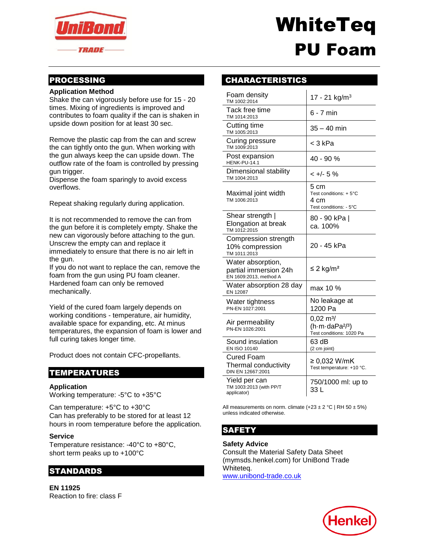

# WhiteTeq PU Foam

## PROCESSING

#### **Application Method**

Shake the can vigorously before use for 15 - 20 times. Mixing of ingredients is improved and contributes to foam quality if the can is shaken in upside down position for at least 30 sec.

Remove the plastic cap from the can and screw the can tightly onto the gun. When working with the gun always keep the can upside down. The outflow rate of the foam is controlled by pressing gun trigger.

Dispense the foam sparingly to avoid excess overflows.

Repeat shaking regularly during application.

It is not recommended to remove the can from the gun before it is completely empty. Shake the new can vigorously before attaching to the gun. Unscrew the empty can and replace it immediately to ensure that there is no air left in the gun.

If you do not want to replace the can, remove the foam from the gun using PU foam cleaner. Hardened foam can only be removed mechanically.

Yield of the cured foam largely depends on working conditions - temperature, air humidity, available space for expanding, etc. At minus temperatures, the expansion of foam is lower and full curing takes longer time.

Product does not contain CFC-propellants.

### TEMPERATURES

#### **Application**

Working temperature: -5°C to +35°C

Can temperature: +5°C to +30°C Can has preferably to be stored for at least 12 hours in room temperature before the application.

#### **Service**

Temperature resistance: -40°C to +80°C, short term peaks up to +100°C

## STANDARDS

**EN 11925** Reaction to fire: class F

## CHARACTERISTICS

| Foam density<br>TM 1002:2014                                         | 17 - 21 kg/m <sup>3</sup>                                                      |
|----------------------------------------------------------------------|--------------------------------------------------------------------------------|
| Tack free time<br>TM 1014:2013                                       | 6 - 7 min                                                                      |
| Cutting time<br>TM 1005:2013                                         | 35 – 40 min                                                                    |
| Curing pressure<br>TM 1009:2013                                      | < 3 kPa                                                                        |
| Post expansion<br>HENK-PU-14.1                                       | 40 - 90 %                                                                      |
| Dimensional stability<br>TM 1004:2013                                | < +/- 5 %                                                                      |
| Maximal joint width<br>TM 1006:2013                                  | 5 cm<br>Test conditions: + 5°C<br>4 cm<br>Test conditions: - 5°C               |
| Shear strength  <br>Elongation at break<br>TM 1012:2015              | 80 - 90 kPa  <br>ca. 100%                                                      |
| Compression strength<br>10% compression<br>TM 1011:2013              | 20 - 45 kPa                                                                    |
| Water absorption,<br>partial immersion 24h<br>EN 1609:2013, method A | ≤ 2 kg/m <sup>2</sup>                                                          |
| Water absorption 28 day<br>EN 12087                                  | max 10 %                                                                       |
| Water tightness<br>PN-EN 1027:2001                                   | No leakage at<br>1200 Pa                                                       |
| Air permeability<br>PN-EN 1026:2001                                  | $0,02 \text{ m}^3$ /<br>(h·m·daPa <sup>2/3</sup> )<br>Test conditions: 1020 Pa |
| Sound insulation<br>EN ISO 10140                                     | 63 dB<br>(2 cm joint)                                                          |
| Cured Foam<br>Thermal conductivity<br>DIN EN 12667:2001              | ≥ 0,032 W/mK<br>Test temperature: +10 °C.                                      |
| Yield per can<br>TM 1003:2013 (with PP/T<br>applicator)              | 750/1000 ml: up to<br>33 L                                                     |

All measurements on norm. climate  $(+23 \pm 2 \degree C \mid RH 50 \pm 5\%)$ unless indicated otherwise.

## **SAFETY**

#### **Safety Advice**

Consult the Material Safety Data Sheet (mymsds.henkel.com) for UniBond Trade Whiteteq. [www.unibond-trade.co.uk](http://www.unibond-trade.co.uk/)